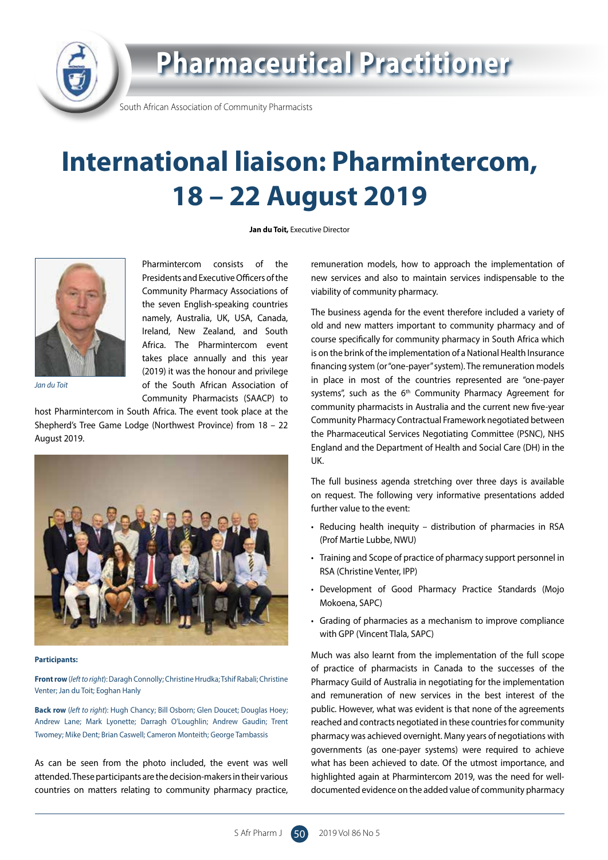

# **Pharmaceutical Practitioner**

South African Association of Community Pharmacists

# **International liaison: Pharmintercom, 18 – 22 August 2019**

**Jan du Toit,** Executive Director



Pharmintercom consists of the Presidents and Executive Officers of the Community Pharmacy Associations of the seven English-speaking countries namely, Australia, UK, USA, Canada, Ireland, New Zealand, and South Africa. The Pharmintercom event takes place annually and this year (2019) it was the honour and privilege of the South African Association of Community Pharmacists (SAACP) to

*Jan du Toit*

host Pharmintercom in South Africa. The event took place at the Shepherd's Tree Game Lodge (Northwest Province) from 18 – 22 August 2019.



**Participants:**

**Front row** (*left to right*): Daragh Connolly; Christine Hrudka; Tshif Rabali; Christine Venter; Jan du Toit; Eoghan Hanly

**Back row** (*left to right*): Hugh Chancy; Bill Osborn; Glen Doucet; Douglas Hoey; Andrew Lane; Mark Lyonette; Darragh O'Loughlin; Andrew Gaudin; Trent Twomey; Mike Dent; Brian Caswell; Cameron Monteith; George Tambassis

As can be seen from the photo included, the event was well attended. These participants are the decision-makers in their various countries on matters relating to community pharmacy practice,

remuneration models, how to approach the implementation of new services and also to maintain services indispensable to the viability of community pharmacy.

The business agenda for the event therefore included a variety of old and new matters important to community pharmacy and of course specifically for community pharmacy in South Africa which is on the brink of the implementation of a National Health Insurance financing system (or "one-payer" system). The remuneration models in place in most of the countries represented are "one-payer systems", such as the  $6<sup>th</sup>$  Community Pharmacy Agreement for community pharmacists in Australia and the current new five-year Community Pharmacy Contractual Framework negotiated between the Pharmaceutical Services Negotiating Committee (PSNC), NHS England and the Department of Health and Social Care (DH) in the UK.

The full business agenda stretching over three days is available on request. The following very informative presentations added further value to the event:

- Reducing health inequity distribution of pharmacies in RSA (Prof Martie Lubbe, NWU)
- Training and Scope of practice of pharmacy support personnel in RSA (Christine Venter, IPP)
- Development of Good Pharmacy Practice Standards (Mojo Mokoena, SAPC)
- Grading of pharmacies as a mechanism to improve compliance with GPP (Vincent Tlala, SAPC)

Much was also learnt from the implementation of the full scope of practice of pharmacists in Canada to the successes of the Pharmacy Guild of Australia in negotiating for the implementation and remuneration of new services in the best interest of the public. However, what was evident is that none of the agreements reached and contracts negotiated in these countries for community pharmacy was achieved overnight. Many years of negotiations with governments (as one-payer systems) were required to achieve what has been achieved to date. Of the utmost importance, and highlighted again at Pharmintercom 2019, was the need for welldocumented evidence on the added value of community pharmacy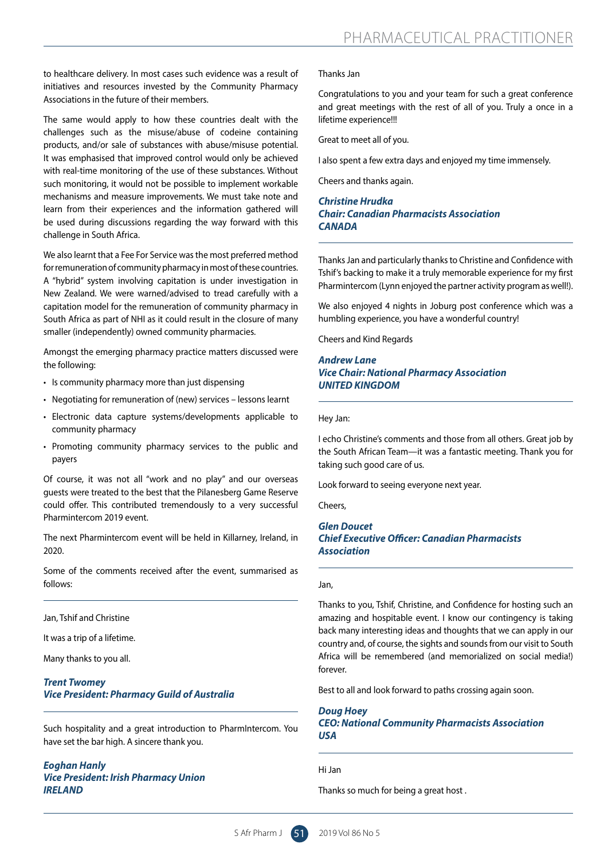to healthcare delivery. In most cases such evidence was a result of initiatives and resources invested by the Community Pharmacy Associations in the future of their members.

The same would apply to how these countries dealt with the challenges such as the misuse/abuse of codeine containing products, and/or sale of substances with abuse/misuse potential. It was emphasised that improved control would only be achieved with real-time monitoring of the use of these substances. Without such monitoring, it would not be possible to implement workable mechanisms and measure improvements. We must take note and learn from their experiences and the information gathered will be used during discussions regarding the way forward with this challenge in South Africa.

We also learnt that a Fee For Service was the most preferred method for remuneration of community pharmacy in most of these countries. A "hybrid" system involving capitation is under investigation in New Zealand. We were warned/advised to tread carefully with a capitation model for the remuneration of community pharmacy in South Africa as part of NHI as it could result in the closure of many smaller (independently) owned community pharmacies.

Amongst the emerging pharmacy practice matters discussed were the following:

- Is community pharmacy more than just dispensing
- Negotiating for remuneration of (new) services lessons learnt
- Electronic data capture systems/developments applicable to community pharmacy
- Promoting community pharmacy services to the public and payers

Of course, it was not all "work and no play" and our overseas guests were treated to the best that the Pilanesberg Game Reserve could offer. This contributed tremendously to a very successful Pharmintercom 2019 event.

The next Pharmintercom event will be held in Killarney, Ireland, in 2020.

Some of the comments received after the event, summarised as follows:

#### Jan, Tshif and Christine

It was a trip of a lifetime.

Many thanks to you all.

# *Trent Twomey Vice President: Pharmacy Guild of Australia*

Such hospitality and a great introduction to PharmIntercom. You have set the bar high. A sincere thank you.

*Eoghan Hanly Vice President: Irish Pharmacy Union IRELAND*

#### Thanks Jan

Congratulations to you and your team for such a great conference and great meetings with the rest of all of you. Truly a once in a lifetime experience!!!

Great to meet all of you.

I also spent a few extra days and enjoyed my time immensely.

Cheers and thanks again.

#### *Christine Hrudka Chair: Canadian Pharmacists Association CANADA*

Thanks Jan and particularly thanks to Christine and Confidence with Tshif's backing to make it a truly memorable experience for my first Pharmintercom (Lynn enjoyed the partner activity program as well!).

We also enjoyed 4 nights in Joburg post conference which was a humbling experience, you have a wonderful country!

Cheers and Kind Regards

## *Andrew Lane Vice Chair: National Pharmacy Association UNITED KINGDOM*

Hey Jan:

I echo Christine's comments and those from all others. Great job by the South African Team—it was a fantastic meeting. Thank you for taking such good care of us.

Look forward to seeing everyone next year.

Cheers

#### *Glen Doucet Chief Executive Officer: Canadian Pharmacists Association*

#### Jan,

Thanks to you, Tshif, Christine, and Confidence for hosting such an amazing and hospitable event. I know our contingency is taking back many interesting ideas and thoughts that we can apply in our country and, of course, the sights and sounds from our visit to South Africa will be remembered (and memorialized on social media!) forever.

Best to all and look forward to paths crossing again soon.

# *Doug Hoey*

# *CEO: National Community Pharmacists Association USA*

Hi Jan

Thanks so much for being a great host .